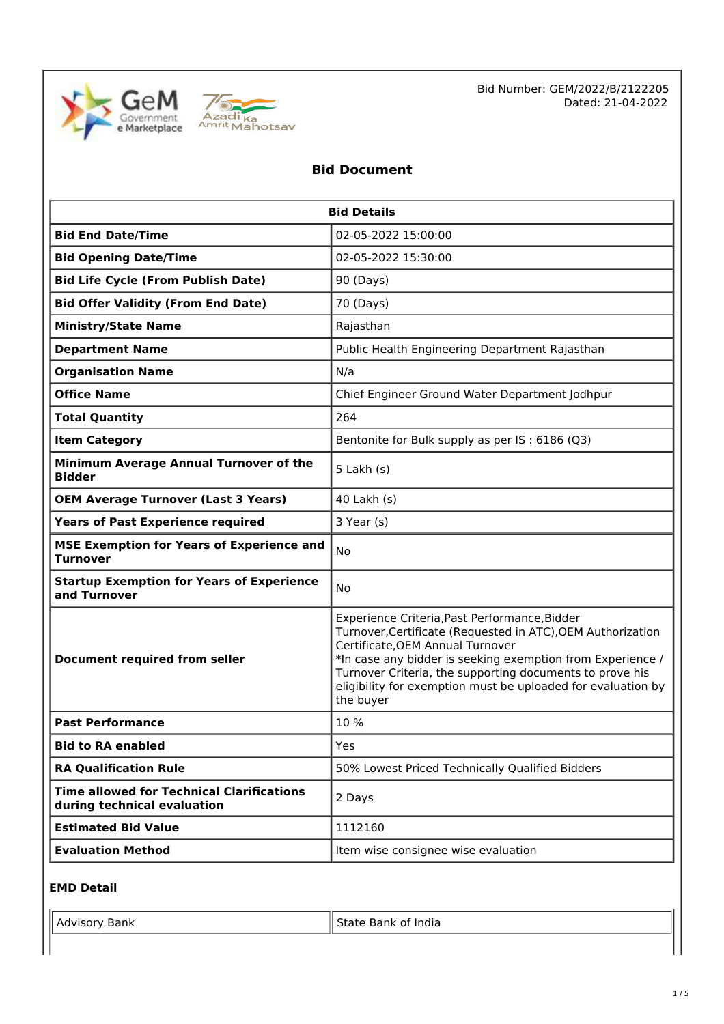



Bid Number: GEM/2022/B/2122205 Dated: 21-04-2022

# **Bid Document**

| <b>Bid Details</b>                                                              |                                                                                                                                                                                                                                                                                                                                                         |  |  |
|---------------------------------------------------------------------------------|---------------------------------------------------------------------------------------------------------------------------------------------------------------------------------------------------------------------------------------------------------------------------------------------------------------------------------------------------------|--|--|
| <b>Bid End Date/Time</b>                                                        | 02-05-2022 15:00:00                                                                                                                                                                                                                                                                                                                                     |  |  |
| <b>Bid Opening Date/Time</b>                                                    | 02-05-2022 15:30:00                                                                                                                                                                                                                                                                                                                                     |  |  |
| <b>Bid Life Cycle (From Publish Date)</b>                                       | 90 (Days)                                                                                                                                                                                                                                                                                                                                               |  |  |
| <b>Bid Offer Validity (From End Date)</b>                                       | 70 (Days)                                                                                                                                                                                                                                                                                                                                               |  |  |
| <b>Ministry/State Name</b>                                                      | Rajasthan                                                                                                                                                                                                                                                                                                                                               |  |  |
| <b>Department Name</b>                                                          | Public Health Engineering Department Rajasthan                                                                                                                                                                                                                                                                                                          |  |  |
| <b>Organisation Name</b>                                                        | N/a                                                                                                                                                                                                                                                                                                                                                     |  |  |
| <b>Office Name</b>                                                              | Chief Engineer Ground Water Department Jodhpur                                                                                                                                                                                                                                                                                                          |  |  |
| <b>Total Quantity</b>                                                           | 264                                                                                                                                                                                                                                                                                                                                                     |  |  |
| <b>Item Category</b>                                                            | Bentonite for Bulk supply as per IS: 6186 (Q3)                                                                                                                                                                                                                                                                                                          |  |  |
| Minimum Average Annual Turnover of the<br><b>Bidder</b>                         | $5$ Lakh $(s)$                                                                                                                                                                                                                                                                                                                                          |  |  |
| <b>OEM Average Turnover (Last 3 Years)</b>                                      | 40 Lakh (s)                                                                                                                                                                                                                                                                                                                                             |  |  |
| <b>Years of Past Experience required</b>                                        | 3 Year (s)                                                                                                                                                                                                                                                                                                                                              |  |  |
| <b>MSE Exemption for Years of Experience and</b><br><b>Turnover</b>             | <b>No</b>                                                                                                                                                                                                                                                                                                                                               |  |  |
| <b>Startup Exemption for Years of Experience</b><br>and Turnover                | No                                                                                                                                                                                                                                                                                                                                                      |  |  |
| <b>Document required from seller</b>                                            | Experience Criteria, Past Performance, Bidder<br>Turnover, Certificate (Requested in ATC), OEM Authorization<br>Certificate, OEM Annual Turnover<br>*In case any bidder is seeking exemption from Experience /<br>Turnover Criteria, the supporting documents to prove his<br>eligibility for exemption must be uploaded for evaluation by<br>the buyer |  |  |
| <b>Past Performance</b>                                                         | 10%                                                                                                                                                                                                                                                                                                                                                     |  |  |
| <b>Bid to RA enabled</b>                                                        | Yes                                                                                                                                                                                                                                                                                                                                                     |  |  |
| <b>RA Qualification Rule</b>                                                    | 50% Lowest Priced Technically Qualified Bidders                                                                                                                                                                                                                                                                                                         |  |  |
| <b>Time allowed for Technical Clarifications</b><br>during technical evaluation | 2 Days                                                                                                                                                                                                                                                                                                                                                  |  |  |
| <b>Estimated Bid Value</b>                                                      | 1112160                                                                                                                                                                                                                                                                                                                                                 |  |  |
| <b>Evaluation Method</b>                                                        | Item wise consignee wise evaluation                                                                                                                                                                                                                                                                                                                     |  |  |

# **EMD Detail**

| sank<br>71 J | India<br>sank |
|--------------|---------------|
|              |               |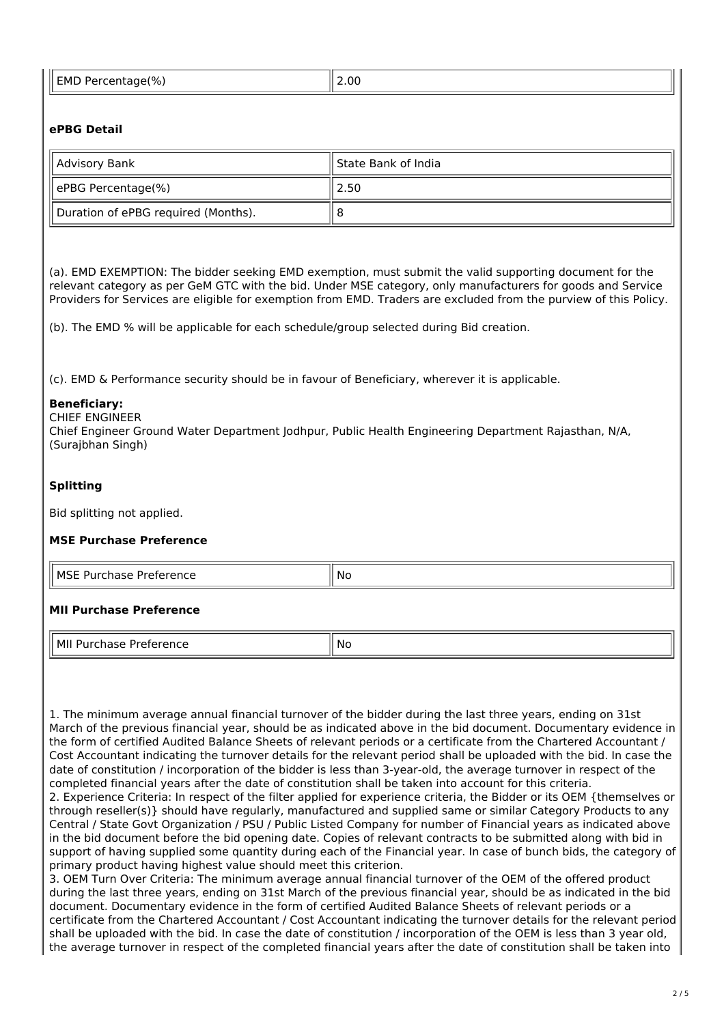| 10/1<br>,  EMD ਾ<br>Percentage(%) ا<br>$-0.000$ | 2.00 |
|-------------------------------------------------|------|
|-------------------------------------------------|------|

# **ePBG Detail**

| Advisory Bank                       | ll State Bank of India |  |
|-------------------------------------|------------------------|--|
| ePBG Percentage(%)                  | 2.50                   |  |
| Duration of ePBG required (Months). |                        |  |

(a). EMD EXEMPTION: The bidder seeking EMD exemption, must submit the valid supporting document for the relevant category as per GeM GTC with the bid. Under MSE category, only manufacturers for goods and Service Providers for Services are eligible for exemption from EMD. Traders are excluded from the purview of this Policy.

(b). The EMD % will be applicable for each schedule/group selected during Bid creation.

(c). EMD & Performance security should be in favour of Beneficiary, wherever it is applicable.

# **Beneficiary:**

CHIEF ENGINEER

Chief Engineer Ground Water Department Jodhpur, Public Health Engineering Department Rajasthan, N/A, (Surajbhan Singh)

# **Splitting**

Bid splitting not applied.

# **MSE Purchase Preference**

| MSF<br>$-1$ <b><math>-</math></b><br>- - -<br>⊶ ۱<br>د ، ب<br>י פווככ<br>be<br>וכ.<br>____<br>______ | N0 |
|------------------------------------------------------------------------------------------------------|----|

# **MII Purchase Preference**

MII Purchase Preference No. 1996

1. The minimum average annual financial turnover of the bidder during the last three years, ending on 31st March of the previous financial year, should be as indicated above in the bid document. Documentary evidence in the form of certified Audited Balance Sheets of relevant periods or a certificate from the Chartered Accountant / Cost Accountant indicating the turnover details for the relevant period shall be uploaded with the bid. In case the date of constitution / incorporation of the bidder is less than 3-year-old, the average turnover in respect of the completed financial years after the date of constitution shall be taken into account for this criteria. 2. Experience Criteria: In respect of the filter applied for experience criteria, the Bidder or its OEM {themselves or through reseller(s)} should have regularly, manufactured and supplied same or similar Category Products to any Central / State Govt Organization / PSU / Public Listed Company for number of Financial years as indicated above in the bid document before the bid opening date. Copies of relevant contracts to be submitted along with bid in support of having supplied some quantity during each of the Financial year. In case of bunch bids, the category of primary product having highest value should meet this criterion.

3. OEM Turn Over Criteria: The minimum average annual financial turnover of the OEM of the offered product during the last three years, ending on 31st March of the previous financial year, should be as indicated in the bid document. Documentary evidence in the form of certified Audited Balance Sheets of relevant periods or a certificate from the Chartered Accountant / Cost Accountant indicating the turnover details for the relevant period shall be uploaded with the bid. In case the date of constitution / incorporation of the OEM is less than 3 year old, the average turnover in respect of the completed financial years after the date of constitution shall be taken into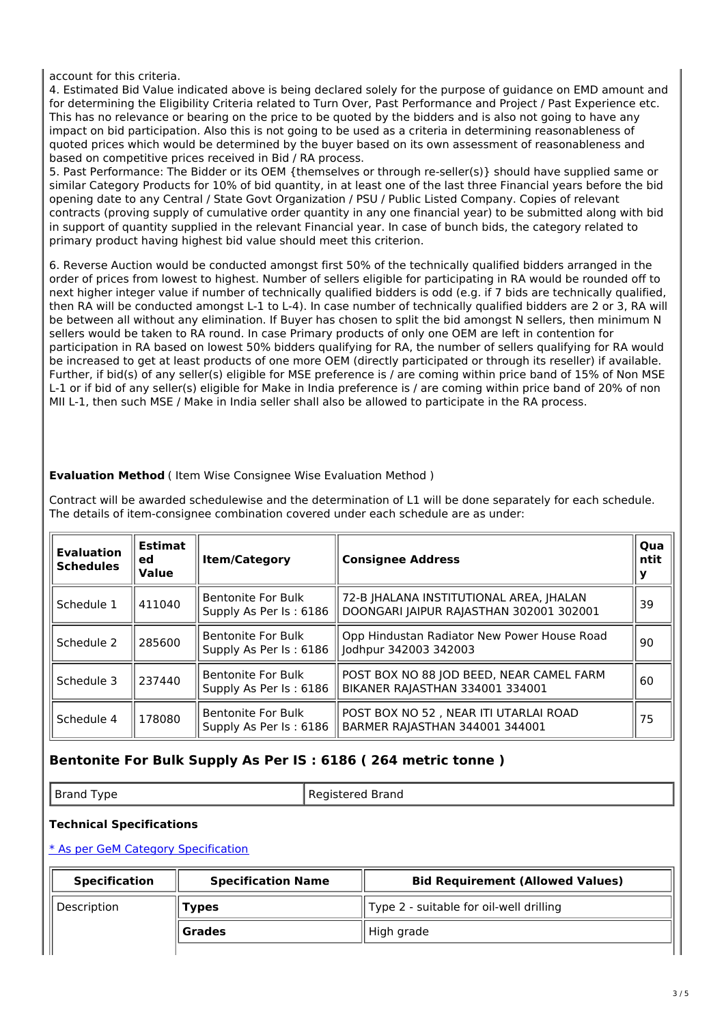account for this criteria.

4. Estimated Bid Value indicated above is being declared solely for the purpose of guidance on EMD amount and for determining the Eligibility Criteria related to Turn Over, Past Performance and Project / Past Experience etc. This has no relevance or bearing on the price to be quoted by the bidders and is also not going to have any impact on bid participation. Also this is not going to be used as a criteria in determining reasonableness of quoted prices which would be determined by the buyer based on its own assessment of reasonableness and based on competitive prices received in Bid / RA process.

5. Past Performance: The Bidder or its OEM {themselves or through re-seller(s)} should have supplied same or similar Category Products for 10% of bid quantity, in at least one of the last three Financial years before the bid opening date to any Central / State Govt Organization / PSU / Public Listed Company. Copies of relevant contracts (proving supply of cumulative order quantity in any one financial year) to be submitted along with bid in support of quantity supplied in the relevant Financial year. In case of bunch bids, the category related to primary product having highest bid value should meet this criterion.

6. Reverse Auction would be conducted amongst first 50% of the technically qualified bidders arranged in the order of prices from lowest to highest. Number of sellers eligible for participating in RA would be rounded off to next higher integer value if number of technically qualified bidders is odd (e.g. if 7 bids are technically qualified, then RA will be conducted amongst L-1 to L-4). In case number of technically qualified bidders are 2 or 3, RA will be between all without any elimination. If Buyer has chosen to split the bid amongst N sellers, then minimum N sellers would be taken to RA round. In case Primary products of only one OEM are left in contention for participation in RA based on lowest 50% bidders qualifying for RA, the number of sellers qualifying for RA would be increased to get at least products of one more OEM (directly participated or through its reseller) if available. Further, if bid(s) of any seller(s) eligible for MSE preference is / are coming within price band of 15% of Non MSE L-1 or if bid of any seller(s) eligible for Make in India preference is / are coming within price band of 20% of non MII L-1, then such MSE / Make in India seller shall also be allowed to participate in the RA process.

# **Evaluation Method** ( Item Wise Consignee Wise Evaluation Method )

Contract will be awarded schedulewise and the determination of L1 will be done separately for each schedule. The details of item-consignee combination covered under each schedule are as under:

| <b>Evaluation</b><br><b>Schedules</b> | <b>Estimat</b><br>ed<br><b>Value</b> | <b>Item/Category</b>                                | <b>Consignee Address</b>                                                           |    |
|---------------------------------------|--------------------------------------|-----------------------------------------------------|------------------------------------------------------------------------------------|----|
| Schedule 1                            | 411040                               | <b>Bentonite For Bulk</b><br>Supply As Per Is: 6186 | 72-B JHALANA INSTITUTIONAL AREA, JHALAN<br>DOONGARI JAIPUR RAJASTHAN 302001 302001 | 39 |
| Schedule 2                            | 285600                               | <b>Bentonite For Bulk</b><br>Supply As Per Is: 6186 | Opp Hindustan Radiator New Power House Road<br>Jodhpur 342003 342003               | 90 |
| Schedule 3                            | 237440                               | <b>Bentonite For Bulk</b><br>Supply As Per Is: 6186 | POST BOX NO 88 JOD BEED, NEAR CAMEL FARM<br>BIKANER RAJASTHAN 334001 334001        | 60 |
| Schedule 4                            | 178080                               | <b>Bentonite For Bulk</b><br>Supply As Per Is: 6186 | POST BOX NO 52, NEAR ITI UTARLAI ROAD<br>BARMER RAJASTHAN 344001 344001            | 75 |

# **Bentonite For Bulk Supply As Per IS : 6186 ( 264 metric tonne )**

Brand Type Registered Brand

# **Technical Specifications**

\* As per GeM Category [Specification](https://bidplus.gem.gov.in/bidding/bid/showCatalogue/HGv6EcoAkflzQZvd-gbMMUgEPXnaQptAjUglPGF7V8Y)

| <b>Specification</b> | <b>Specification Name</b> | <b>Bid Requirement (Allowed Values)</b> |  |
|----------------------|---------------------------|-----------------------------------------|--|
| Description          | Types                     | Type 2 - suitable for oil-well drilling |  |
|                      | Grades                    | High grade                              |  |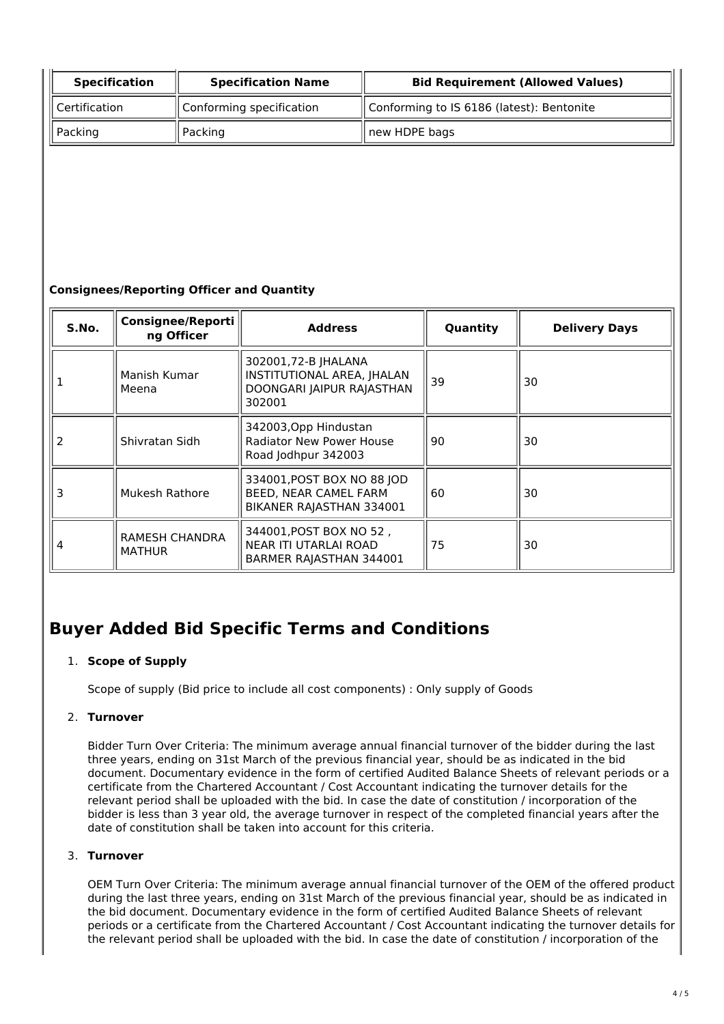| <b>Specification</b><br><b>Specification Name</b> |                            | <b>Bid Requirement (Allowed Values)</b>   |  |
|---------------------------------------------------|----------------------------|-------------------------------------------|--|
| $\parallel$ Certification                         | l Conforming specification | Conforming to IS 6186 (latest): Bentonite |  |
| $\parallel$ Packing                               | Packing                    | new HDPE bags                             |  |

# **Consignees/Reporting Officer and Quantity**

| S.No. | <b>Consignee/Reporti</b><br>ng Officer | <b>Address</b>                                                                           | Quantity | <b>Delivery Days</b> |
|-------|----------------------------------------|------------------------------------------------------------------------------------------|----------|----------------------|
|       | Manish Kumar<br>Meena                  | 302001,72-B JHALANA<br>INSTITUTIONAL AREA, JHALAN<br>DOONGARI JAIPUR RAJASTHAN<br>302001 | 39       | 30                   |
| 2     | Shivratan Sidh                         | 342003, Opp Hindustan<br><b>Radiator New Power House</b><br>Road Jodhpur 342003          | 90       | 30                   |
| 3     | Mukesh Rathore                         | 334001, POST BOX NO 88 JOD<br>BEED, NEAR CAMEL FARM<br>BIKANER RAJASTHAN 334001          | 60       | 30                   |
| 4     | RAMESH CHANDRA<br><b>MATHUR</b>        | 344001, POST BOX NO 52,<br>NEAR ITI UTARLAI ROAD<br>BARMER RAJASTHAN 344001              | 75       | 30                   |

# **Buyer Added Bid Specific Terms and Conditions**

# 1. **Scope of Supply**

Scope of supply (Bid price to include all cost components) : Only supply of Goods

# 2. **Turnover**

Bidder Turn Over Criteria: The minimum average annual financial turnover of the bidder during the last three years, ending on 31st March of the previous financial year, should be as indicated in the bid document. Documentary evidence in the form of certified Audited Balance Sheets of relevant periods or a certificate from the Chartered Accountant / Cost Accountant indicating the turnover details for the relevant period shall be uploaded with the bid. In case the date of constitution / incorporation of the bidder is less than 3 year old, the average turnover in respect of the completed financial years after the date of constitution shall be taken into account for this criteria.

# 3. **Turnover**

OEM Turn Over Criteria: The minimum average annual financial turnover of the OEM of the offered product during the last three years, ending on 31st March of the previous financial year, should be as indicated in the bid document. Documentary evidence in the form of certified Audited Balance Sheets of relevant periods or a certificate from the Chartered Accountant / Cost Accountant indicating the turnover details for the relevant period shall be uploaded with the bid. In case the date of constitution / incorporation of the